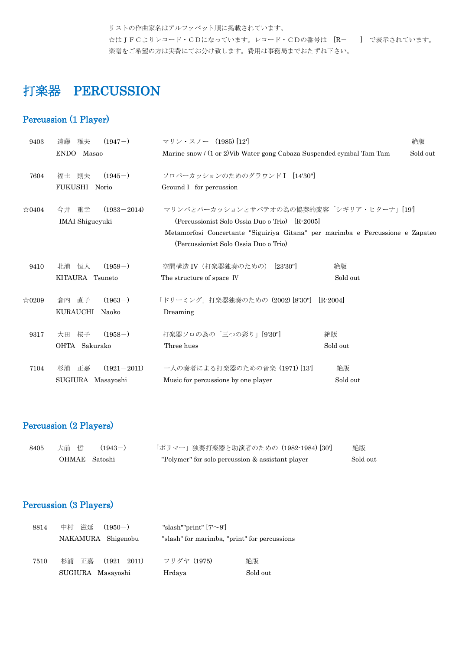リストの作曲家名はアルファベット順に掲載されています。

☆はJFCよりレコード・CDになっています。レコード・CDの番号は [R- ] で表示されています。 楽譜をご希望の方は実費にてお分け致します。費用は事務局までおたずね下さい。

# 打楽器 PERCUSSION

## Percussion (1 Player)

| 9403           | $(1947-)$<br>雅夫<br>遠藤       | マリン・スノー (1985) [12]                                                                                                     | 絶版       |
|----------------|-----------------------------|-------------------------------------------------------------------------------------------------------------------------|----------|
|                | ENDO Masao                  | Marine snow / (1 or 2) Vib Water gong Cabaza Suspended cymbal Tam Tam                                                   | Sold out |
| 7604           | $(1945-)$<br>則夫<br>福士       | ソロパーカッションのためのグラウンドI [14'30"]                                                                                            |          |
|                | FUKUSHI Norio               | Ground I for percussion                                                                                                 |          |
| $\approx 0404$ | $(1933 - 2014)$<br>今井 重幸    | マリンバとパーカッションとサパテオの為の協奏的変容「シギリア・ヒターナ」[19']                                                                               |          |
|                | <b>IMAI</b> Shigueyuki      | (Percussionist Solo Ossia Duo o Trio) [R-2005]                                                                          |          |
|                |                             | Metamorfosi Concertante "Siguiriya Gitana" per marimba e Percussione e Zapateo<br>(Percussionist Solo Ossia Duo o Trio) |          |
| 9410           | 恒人<br>$(1959-)$<br>北浦       | 空間構造 IV (打楽器独奏のための) [23'30"]<br>絶版                                                                                      |          |
|                | KITAURA Tsuneto             | Sold out<br>The structure of space IV                                                                                   |          |
| $\approx 0209$ | $(1963-)$<br>直子<br>倉内       | 「ドリーミング」打楽器独奏のための (2002) [8'30"]<br>$[R-2004]$                                                                          |          |
|                | KURAUCHI<br>Naoko           | Dreaming                                                                                                                |          |
| 9317           | $(1958-)$<br>桜子<br>大田       | 打楽器ソロの為の「三つの彩り」[9'30"]<br>絶版                                                                                            |          |
|                | OHTA Sakurako               | Three hues<br>Sold out                                                                                                  |          |
| 7104           | $(1921 - 2011)$<br>正嘉<br>杉浦 | 一人の奏者による打楽器のための音楽 (1971) [13]<br>絶版                                                                                     |          |
|                | SUGIURA Masayoshi           | Sold out<br>Music for percussions by one player                                                                         |          |

## Percussion (2 Players)

| 8405 | 大前 哲          | $(1943-)$ | 「ポリマー」独奏打楽器と助演者のための (1982-1984) [30']            | 絶版       |
|------|---------------|-----------|--------------------------------------------------|----------|
|      | OHMAE Satoshi |           | "Polymer" for solo percussion & assistant player | Sold out |

## Percussion (3 Players)

| 8814 | 中村 滋延<br>$(1950 - )$ | "slash""print" $[7\sim9]$                    |          |
|------|----------------------|----------------------------------------------|----------|
|      | NAKAMURA Shigenobu   | "slash" for marimba, "print" for percussions |          |
| 7510 | 杉浦 正嘉 (1921-2011)    | フリダヤ (1975)                                  | 絶版       |
|      | SUGIURA Masayoshi    | Hrdaya                                       | Sold out |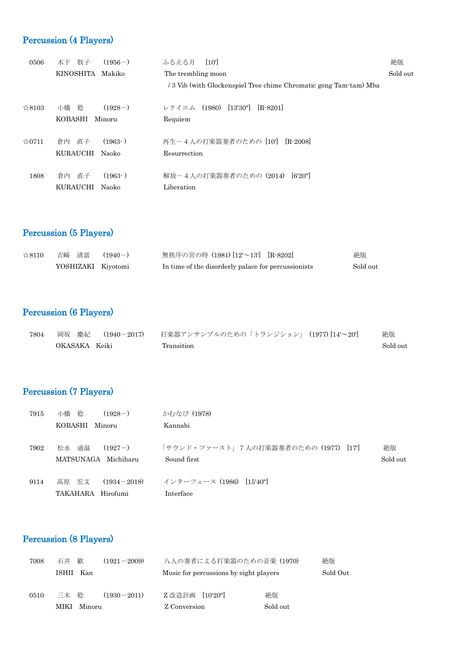# Percussion (4 Players)

| 0506           | 牧子<br>$(1956-)$<br>木下      | [10]<br>ふるえる月                                                     | 絶版       |
|----------------|----------------------------|-------------------------------------------------------------------|----------|
|                | <b>KINOSHITA</b><br>Makiko | The trembling moon                                                | Sold out |
|                |                            | / 3 Vib (with Glockenspiel Tree chime Chromatic gong Tam-tam) Mba |          |
| $\approx 8103$ | $(1928-)$<br>小橋 稔          | [13'30"]<br>(1980)<br>$[R-8201]$<br>レクイエム                         |          |
|                | KOBASHI<br>Minoru          | Requiem                                                           |          |
| $\approx 0711$ | (1963)<br>倉内<br>直子         | 再生-4人の打楽器奏者のための [10'] [R-2008]                                    |          |
|                | KURAUCHI<br><b>Naoko</b>   | Resurrection                                                      |          |
| 1808           | 直子<br>(1963)<br>倉内         | 解放-4人の打楽器奏者のための (2014)<br>6'20"                                   |          |
|                | KURAUCHI<br><b>Naoko</b>   | Liberation                                                        |          |

# Percussion (5 Players)

| ☆8110 | 吉崎 清富              | $(1940 - )$ | 無秩序の宮の時 (1981) [12'~13'] [R-8202]                   | 絶版       |
|-------|--------------------|-------------|-----------------------------------------------------|----------|
|       | YOSHIZAKI Kiyotomi |             | In time of the disorderly palace for percussionists | Sold out |

# Percussion (6 Players)

| 7804 | 岡坂の慶紀<br>$(1940 - 2017)$ | 打楽器アンサンブルのための「トランジション」(1977)[14'〜20'] | 絶版       |
|------|--------------------------|---------------------------------------|----------|
|      | OKASAKA Keiki            | Transition                            | Sold out |

# Percussion (7 Players)

| 7915 | 小橋 稔<br>$(1928-)$        | かむなび (1978)                          |          |
|------|--------------------------|--------------------------------------|----------|
|      | KOBASHI<br>Minoru        | Kannabi                              |          |
|      |                          |                                      |          |
| 7902 | 通温<br>松永<br>$(1927-)$    | 「サウンド・ファースト」7人の打楽器奏者のための (1977) [17] | 絶版       |
|      | MATSUNAGA Michiharu      | Sound first                          | Sold out |
|      |                          |                                      |          |
| 9114 | 高原 宏文<br>$(1934 - 2018)$ | インターフェース (1986) [15'40"]             |          |
|      | TAKAHARA<br>Hirofumi     | Interface                            |          |

# Percussion (8 Players)

| 歓<br>石井        | $(1921 - 2009)$ |        |                                      | 絶版                                                                 |
|----------------|-----------------|--------|--------------------------------------|--------------------------------------------------------------------|
| ISHII<br>– Kan |                 |        |                                      | Sold Out                                                           |
|                |                 |        |                                      |                                                                    |
| 三木は稔           | $(1930 - 2011)$ | Z 改造計画 | 絶版                                   |                                                                    |
| MIKI           |                 |        | Sold out                             |                                                                    |
|                |                 | Minoru | $\left[10'20\right]$<br>Z Conversion | 八人の奏者による打楽器のための音楽 (1970)<br>Music for percussions by eight players |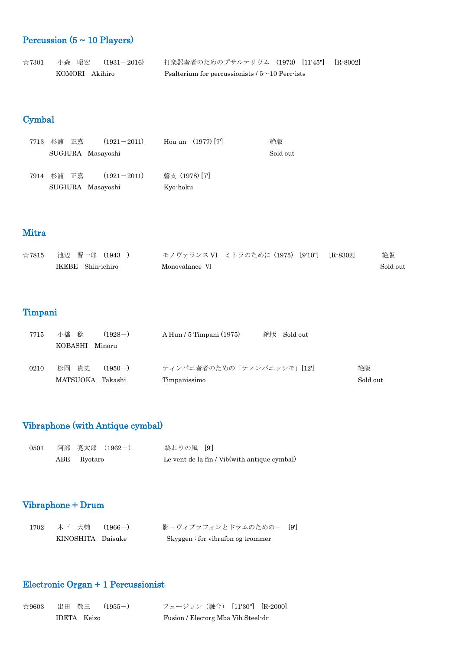# Percussion ( $5 \sim 10$  Players)

| $\approx 7301$ | 小森 昭宏  (1931-2016) | 打楽器奏者のためのプサルテリウム (1973) [11'45"] [R-8002]            |
|----------------|--------------------|------------------------------------------------------|
|                | KOMORI Akihiro     | Psalterium for percussionists $/5 \sim 10$ Perc-ists |

## Cymbal

| 7713 杉浦 正嘉        | $(1921 - 2011)$ | Hou un $(1977)$ [7] | 絶版       |
|-------------------|-----------------|---------------------|----------|
| SUGIURA Masayoshi |                 |                     | Sold out |
| 7914 杉浦 正嘉        | $(1921 - 2011)$ | 磬攴 (1978) [7]       |          |
| SUGIURA Masayoshi |                 | Kyo-hoku            |          |

### Mitra

| $\approx 7815$ | 池辺 晋一郎 (1943-)    | モノヴァランス VI ミトラのために (1975) [9'10"] [R-8302] | 絶版       |
|----------------|-------------------|--------------------------------------------|----------|
|                | IKEBE Shin-ichiro | Monovalance VI                             | Sold out |

# Timpani

| 7715 | 小橋<br>稔<br>$(1928-)$       | 絶版<br>$A$ Hun / 5 Timpani $(1975)$<br>Sold out |          |
|------|----------------------------|------------------------------------------------|----------|
|      | KOBASHI<br>Minoru          |                                                |          |
|      |                            |                                                |          |
| 0210 | 松岡 貴史<br>$(1950-)$         | ティンパニ奏者のための「ティンパニッシモ」[12]                      | 絶版       |
|      | <b>MATSUOKA</b><br>Takashi | Timpanissimo                                   | Sold out |
|      |                            |                                                |          |

## Vibraphone (with Antique cymbal)

| 0501 | 阿部 亮太郎 (1962-) | 終わりの風 [9]                                    |
|------|----------------|----------------------------------------------|
|      | ABE Ryotaro    | Le vent de la fin / Vib(with antique cymbal) |

## Vibraphone + Drum

| 1702 | 木下 大輔  (1966-)    | 影-ヴィブラフォンとドラムのための- [9]            |  |
|------|-------------------|-----------------------------------|--|
|      | KINOSHITA Daisuke | Skyggen: for vibration og trommer |  |

## Electronic Organ + 1 Percussionist

| $\approx 9603$ |             | 出田 敬三  (1955-) | フュージョン(融合) [11'30"] [R-2000]       |  |  |
|----------------|-------------|----------------|------------------------------------|--|--|
|                | IDETA Keizo |                | Fusion / Electorg Mba Vib Steel-dr |  |  |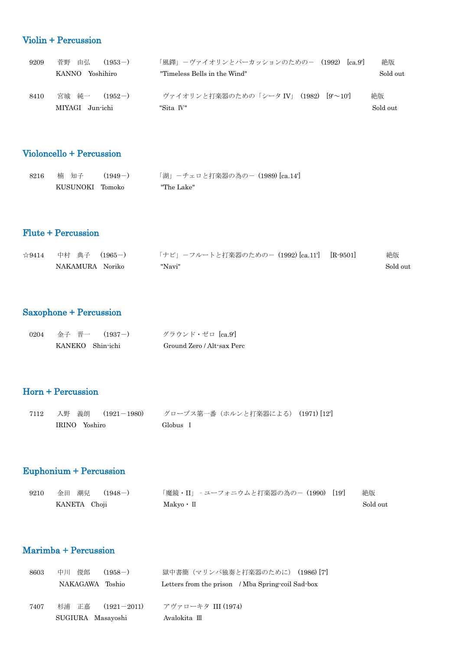## Violin + Percussion

| 9209 | 由弘<br>菅野<br>$(1953-)$                 | 「風鐸」-ヴァイオリンとパーカッションのための- (1992)<br> ca.9                      | 絶版             |
|------|---------------------------------------|---------------------------------------------------------------|----------------|
|      | KANNO<br>Yoshihiro                    | "Timeless Bells in the Wind"                                  | Sold out       |
| 8410 | 宮城 純一<br>$(1952-)$<br>MIYAGI Jun-ichi | ヴァイオリンと打楽器のための「シータ IV」 (1982)<br>$ 9' \sim 10' $<br>"Sita IV" | 絶版<br>Sold out |

## Violoncello + Percussion

| 8216 | あんじゅう 楠 知子 こうかんかん | $(1949-)$ | 「湖」ーチェロと打楽器の為のー (1989) [ca.14'] |
|------|-------------------|-----------|---------------------------------|
|      | KUSUNOKI Tomoko   |           | "The Lake"                      |

### Flute + Percussion

| ☆9414   中村 典子 (1965-) | 「ナビ」-フルートと打楽器のための- (1992) [ca.11'] [R-9501] | 絶版       |
|-----------------------|---------------------------------------------|----------|
| NAKAMURA Noriko       | "Navi"                                      | Sold out |

## Saxophone + Percussion

| 0204 | 金子 晋一  (1937-)   | グラウンド・ゼロ [ca.9']           |
|------|------------------|----------------------------|
|      | KANEKO Shin-ichi | Ground Zero / Alt-sax Perc |

## Horn + Percussion

| 7112 | 入野 義朗  (1921-1980) | グローブス第一番(ホルンと打楽器による) (1971) [12] |  |
|------|--------------------|----------------------------------|--|
|      | IRINO Yoshiro      | Globus I                         |  |

## Euphonium + Percussion

| 9210 | 金田 潮兒  (1948-) | 「魔鏡・II」 - ユーフォニウムと打楽器の為の-(1990) [19'] | 絶版       |
|------|----------------|---------------------------------------|----------|
|      | KANETA Choji   | $Makyo \cdot \Pi$                     | Sold out |

### Marimba + Percussion

| 8603 | 俊郎<br>中川<br>$(1958-)$    | 獄中書簡(マリンバ独奏と打楽器のために) (1986) [7]                   |
|------|--------------------------|---------------------------------------------------|
|      | NAKAGAWA Toshio          | Letters from the prison / Mba Spring-coil Sad-box |
| 7407 | 杉浦 正嘉<br>$(1921 - 2011)$ | アヴァローキタ III (1974)                                |
|      | SUGIURA Masayoshi        | Avalokita III                                     |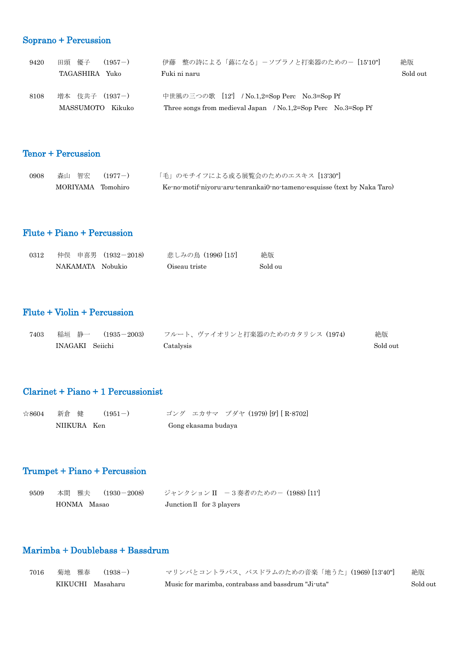## Soprano + Percussion

| 9420 | 田頭 優子<br>$(1957-)$ | 伊藤 整の詩による「蕗になる」ーソプラノと打楽器のためのー [15'10"]                        | 絶版       |
|------|--------------------|---------------------------------------------------------------|----------|
|      | TAGASHIRA Yuko     | Fuki ni naru                                                  | Sold out |
| 8108 | 増本 伎共子 (1937-)     | 中世風の三つの歌 [12'] / No.1,2=Sop Perc No.3=Sop Pf                  |          |
|      | MASSUMOTO Kikuko   | Three songs from medieval Japan / No.1,2=Sop Perc No.3=Sop Pf |          |

## Tenor + Percussion

| 0908 | - 森山 智宏  (1977-)  | 「毛」のモチイフによる或る展覧会のためのエスキス [13'30"]                                        |
|------|-------------------|--------------------------------------------------------------------------|
|      | MORIYAMA Tomohiro | Ke-no-motif-niyoru-aru-tenrankai0-no-tameno-esquisse (text by Naka Taro) |

### Flute + Piano + Percussion

| 0312 |                  | 仲俣 申喜男 (1932-2018) | 悲しみの鳥 (1996) [15] | 絶版      |
|------|------------------|--------------------|-------------------|---------|
|      | NAKAMATA Nobukio |                    | Oiseau triste     | Sold ou |

## Flute + Violin + Percussion

| 7403 | 稲垣 静一<br>$(1935 - 2003)$ | フルート、ヴァイオリンと打楽器のためのカタリシス (1974) | 絶版       |
|------|--------------------------|---------------------------------|----------|
|      | INAGAKI Seiichi          | Catalysis                       | Sold out |

### Clarinet + Piano + 1 Percussionist

| $\approx 8604$ | 新倉 健        | $(1951 - )$ | ゴング エカサマ ブダヤ (1979) [9] [R-8702] |
|----------------|-------------|-------------|----------------------------------|
|                | NIIKURA Ken |             | Gong ekasama budaya              |

## Trumpet + Piano + Percussion

| 9509 |             | 本間 雅夫  (1930-2008) | ジャンクション II -3奏者のための− (1988) [11']  |
|------|-------------|--------------------|------------------------------------|
|      | HONMA Masao |                    | Junction $\mathbb I$ for 3 players |

### Marimba + Doublebass + Bassdrum

| 7016 | 菊地 雅春  (1938-)   | マリンバとコントラバス、バスドラムのための音楽「地うた」(1969) [13'40"]         | 絶版       |
|------|------------------|-----------------------------------------------------|----------|
|      | KIKUCHI Masaharu | Music for marimba, contrabass and bassdrum "Ji-uta" | Sold out |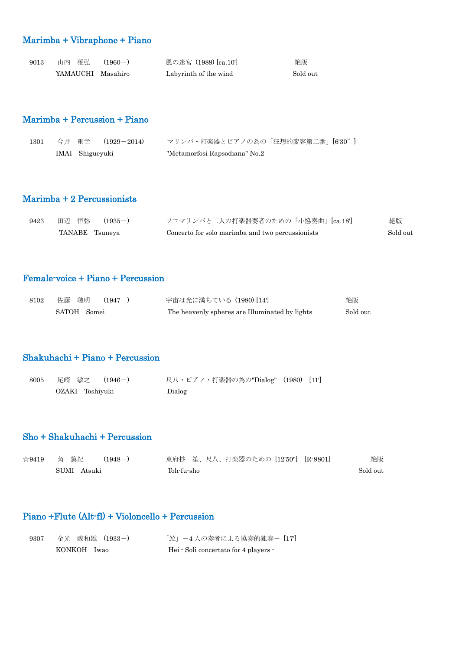## Marimba + Vibraphone + Piano

| 9013 | 山内 雅弘             | $(1960 - )$ | 風の迷宮 (1989) [ca.10']  | 絶版       |
|------|-------------------|-------------|-----------------------|----------|
|      | YAMAUCHI Masahiro |             | Labyrinth of the wind | Sold out |

### Marimba + Percussion + Piano

| 1301 |                 | 今井 重幸 (1929-2014) | マリンバ・打楽器とピアノの為の「狂想的変容第二番」[6'30"] |  |
|------|-----------------|-------------------|----------------------------------|--|
|      | IMAI Shigueyuki |                   | "Metamorfosi Rapsodiana" No.2    |  |

### Marimba + 2 Percussionists

| 9423 | 田辺 恒弥 (1935-)  | ソロマリンバと二人の打楽器奏者のための「小協奏曲」[ca.18]                 | 絶版       |
|------|----------------|--------------------------------------------------|----------|
|      | TANABE Tsuneya | Concerto for solo marimba and two percussionists | Sold out |

## Female-voice + Piano + Percussion

| 8102 | 佐藤 聰明<br>$(1947-)$ | 宇宙は光に満ちている(1980)[14]                           | 絶版       |
|------|--------------------|------------------------------------------------|----------|
|      | SATOH Somei        | The heavenly spheres are Illuminated by lights | Sold out |

### Shakuhachi + Piano + Percussion

| 8005 | 尾崎 敏之  (1946-)  | - 尺八・ピアノ・打楽器の為の"Dialog" (1980) [11'] |  |
|------|-----------------|--------------------------------------|--|
|      | OZAKI Toshiyuki | Dialog                               |  |

### Sho + Shakuhachi + Percussion

| $\approx 9419$ | (篤紀<br>角       | $(1948-)$ |            |  | 東府抄 笙、尺八、打楽器のための [12'50"] [R-9801] |  | 絶版       |
|----------------|----------------|-----------|------------|--|------------------------------------|--|----------|
|                | SUMI<br>Atsuki |           | Toh-fu-sho |  |                                    |  | Sold out |

## Piano +Flute (Alt-fl) + Violoncello + Percussion

| 9307 | 金光 威和雄 (1933-) | 「竝」-4 人の奏者による協奏的独奏- [17]              |
|------|----------------|---------------------------------------|
|      | KONKOH Iwao    | Hei · Soli concertato for 4 players · |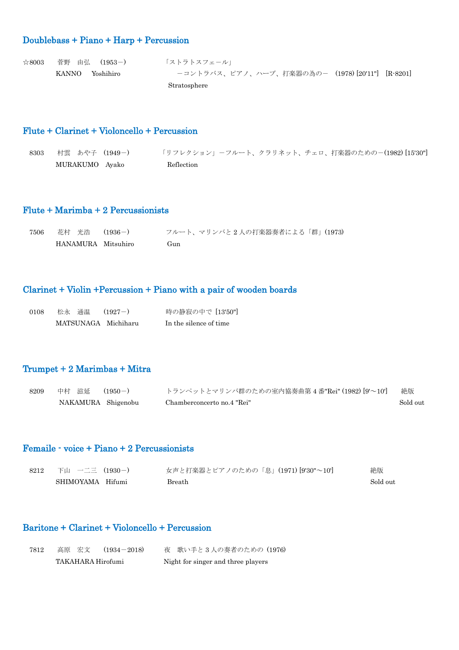## Doublebass + Piano + Harp + Percussion

| $\approx 8003$ | 菅野 由弘 (1953-)   | 「ストラトスフェール」                                     |
|----------------|-----------------|-------------------------------------------------|
|                | KANNO Yoshihiro | ーコントラバス、ピアノ、ハープ、打楽器の為のー (1978)[20'11"] [R-8201] |
|                |                 | Stratosphere                                    |

#### Flute + Clarinet + Violoncello + Percussion

| 8303 | 村雲 あや子 (1949-) | 「リフレクション」-フルート、クラリネット、チェロ、打楽器のための-(1982)[15'30"] |
|------|----------------|--------------------------------------------------|
|      | MURAKUMO Ayako | Reflection                                       |

### Flute + Marimba + 2 Percussionists

| 7506 | 花村 光浩  (1936-)     | フルート、マリンバと2人の打楽器奏者による「群」(1973) |
|------|--------------------|--------------------------------|
|      | HANAMURA Mitsuhiro | (†un                           |

## Clarinet + Violin +Percussion + Piano with a pair of wooden boards

| 0108 |  | 松永 通温  (1927-)      | 時の静寂の中で [13'50"]       |
|------|--|---------------------|------------------------|
|      |  | MATSUNAGA Michiharu | In the silence of time |

### Trumpet + 2 Marimbas + Mitra

| 8209 | 中村 滋延  (1950-)     | トランペットとマリンバ群のための室内協奏曲第4番"Rei" (1982) [9'~10'] | 絶版       |
|------|--------------------|-----------------------------------------------|----------|
|      | NAKAMURA Shigenobu | Chamberconcerto no.4 "Rei"                    | Sold out |

### Femaile - voice + Piano + 2 Percussionists

| 8212 | 下山 一二三 (1930-)   | 女声と打楽器とピアノのための「息」(1971)[9'30"~10'] | 絶版       |
|------|------------------|------------------------------------|----------|
|      | SHIMOYAMA Hifumi | Breath                             | Sold out |

### Baritone + Clarinet + Violoncello + Percussion

| 7812 | 高原 宏文             | $(1934 - 2018)$ | 夜 歌い手と3人の奏者のための(1976)              |  |
|------|-------------------|-----------------|------------------------------------|--|
|      | TAKAHARA Hirofumi |                 | Night for singer and three players |  |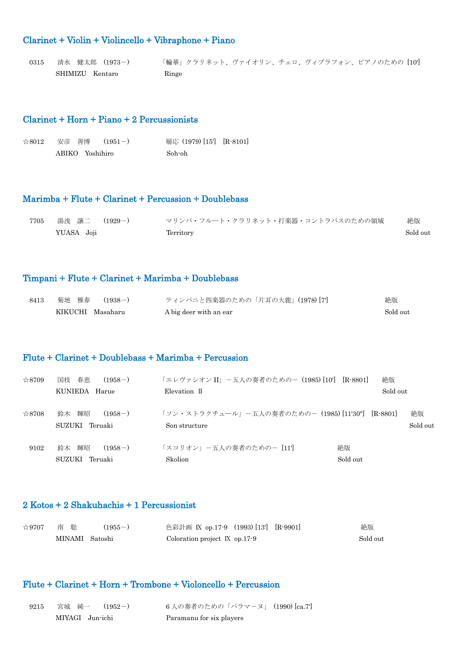## Clarinet + Violin + Violincello + Vibraphone + Piano

| 0315 | 清水 健太郎 (1973-)  | 「輪華」クラリネット、ヴァイオリン、チェロ、ヴィブラフォン、ピアノのための [10'] |
|------|-----------------|---------------------------------------------|
|      | SHIMIZU Kentaro | Ringe                                       |

### Clarinet + Horn + Piano + 2 Percussionists

|  | ☆8012 安彦 善博 (1951-) | 層応 (1979) [15'] [R-8101] |  |
|--|---------------------|--------------------------|--|
|  | ABIKO Yoshihiro     | Soh-oh                   |  |

#### Marimba + Flute + Clarinet + Percussion + Doublebass

| 7705 | 湯浅 譲二  (1929-) | マリンバ・フルート・クラリネット・打楽器・コントラバスのための領域 | 絶版       |
|------|----------------|-----------------------------------|----------|
|      | YUASA Joji     | Territory                         | Sold out |

#### Timpani + Flute + Clarinet + Marimba + Doublebass

| 8413 | 菊地 雅春<br>$(1938-)$ | ティンパニと四楽器のための「片耳の大鹿」(1978)[7] | 絶版       |
|------|--------------------|-------------------------------|----------|
|      | KIKUCHI Masaharu   | A big deer with an ear        | Sold out |

### Flute + Clarinet + Doublebass + Marimba + Percussion

| $\approx 8709$ | 国枝の春恵<br>$(1958-)$                      | 「エレヴァシオン II」 一五人の奏者のためのー (1985) [10'] [R-8801]                     |                | 絶版       |                |
|----------------|-----------------------------------------|--------------------------------------------------------------------|----------------|----------|----------------|
|                | KUNIEDA Harue                           | Elevation II                                                       |                | Sold out |                |
| $\approx 8708$ | 鈴木 輝昭<br>$(1958-)$<br>SUZUKI Teruaki    | 「ソン・ストラクチュール」-五人の奏者のための- (1985) [11'30"] [R-8801]<br>Son structure |                |          | 絶版<br>Sold out |
| 9102           | 鈴木 輝昭<br>$(1958-)$<br>SUZUKI<br>Teruaki | 「スコリオン」ー五人の奏者のためのー [11]<br>Skolion                                 | 絶版<br>Sold out |          |                |

### 2 Kotos + 2 Shakuhachis + 1 Percussionist

| $\approx$ 9707 | 南へ聡            | $(1955 - )$ | 色彩計画 IX op.17-9 (1993)[13'] [R-9901] | 絶版       |
|----------------|----------------|-------------|--------------------------------------|----------|
|                | MINAMI Satoshi |             | Coloration project $\rm K$ op.17-9   | Sold out |

### Flute + Clarinet + Horn + Trombone + Violoncello + Percussion

| 9215 | 宮城 純一 (1952-)   | 6人の奏者のための「パラマーヌ」(1990)[ca.7'] |
|------|-----------------|-------------------------------|
|      | MIYAGI Jun-ichi | Paramanu for six players      |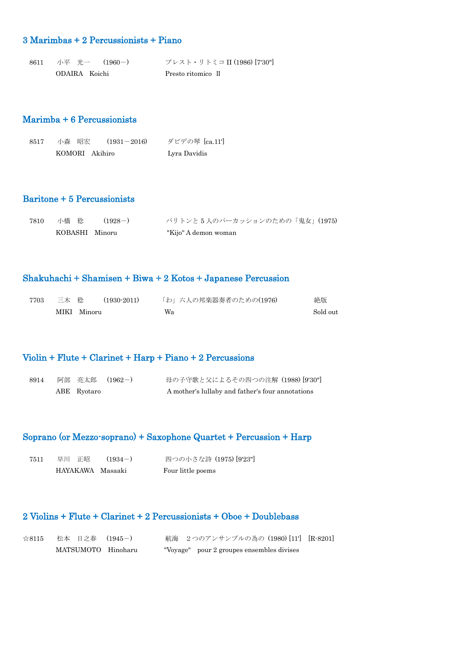### 3 Marimbas + 2 Percussionists + Piano

8611 小平 光一 (1960-) プレスト・リトミコ II (1986) [7'30"] ODAIRA Koichi Presto ritomico Ⅱ

### Marimba + 6 Percussionists

| 8517 | 小森 昭宏 |                | $(1931 - 2016)$ | ダビデの琴 [ca.11'] |
|------|-------|----------------|-----------------|----------------|
|      |       | KOMORI Akihiro |                 | Lyra Davidis   |

### Baritone + 5 Percussionists

| 7810 | 小橋 稔           | $(1928 - )$ | バリトンと5人のパーカッションのための「鬼女」(1975) |
|------|----------------|-------------|-------------------------------|
|      | KOBASHI Minoru |             | "Kijo" A demon woman          |

#### Shakuhachi + Shamisen + Biwa + 2 Kotos + Japanese Percussion

| 7703 | 三木 稔        | (1930-2011) | 「わ」六人の邦楽器奏者のための(1976) | 絶版       |
|------|-------------|-------------|-----------------------|----------|
|      | MIKI Minoru |             | Wa                    | Sold out |

### Violin + Flute + Clarinet + Harp + Piano + 2 Percussions

| 8914 |             | 阿部 亮太郎 (1962-) | 母の子守歌と父によるその四つの注解 (1988)[9'30"]                  |
|------|-------------|----------------|--------------------------------------------------|
|      | ABE Ryotaro |                | A mother's lullaby and father's four annotations |

## Soprano (or Mezzo-soprano) + Saxophone Quartet + Percussion + Harp

| 7511 | 早川 正昭            | $(1934-)$ | 四つの小さな詩 (1975) [9'23"] |
|------|------------------|-----------|------------------------|
|      | HAYAKAWA Masaaki |           | Four little poems      |

### 2 Violins + Flute + Clarinet + 2 Percussionists + Oboe + Doublebass

| $\approx 8115$ | 松本 日之春 (1945-)     | – 航海 – 2 つのアンサンブルの為の(1980)[11'] [R-8201]  |  |
|----------------|--------------------|-------------------------------------------|--|
|                | MATSUMOTO Hinoharu | "Voyage" pour 2 groupes ensembles divises |  |